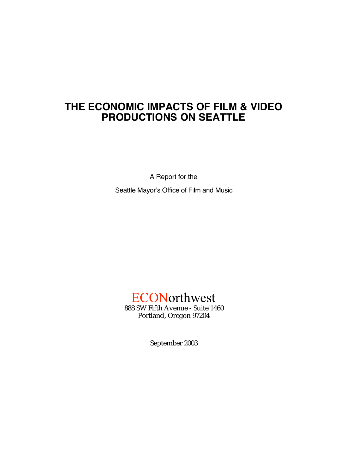## **THE ECONOMIC IMPACTS OF FILM & VIDEO PRODUCTIONS ON SEATTLE**

A Report for the

Seattle Mayor's Office of Film and Music

# **ECONorthwest**

888 SW Fifth Avenue - Suite 1460 Portland, Oregon 97204

September 2003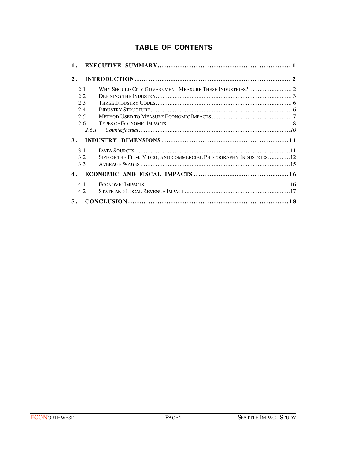## **TABLE OF CONTENTS**

| $\mathbf 1$ .              |                                                                  |  |
|----------------------------|------------------------------------------------------------------|--|
| $2$ .                      |                                                                  |  |
| 2.1<br>2.2<br>23           | WHY SHOULD CITY GOVERNMENT MEASURE THESE INDUSTRIES?  2          |  |
| 2.4<br>2.5<br>2.6<br>2.6.1 |                                                                  |  |
| 3.                         |                                                                  |  |
| 3.1<br>3.2<br>3.3          | SIZE OF THE FILM, VIDEO, AND COMMERCIAL PHOTOGRAPHY INDUSTRIES12 |  |
| $\overline{4}$ .           |                                                                  |  |
| 4.1<br>4.2                 |                                                                  |  |
| 5.                         |                                                                  |  |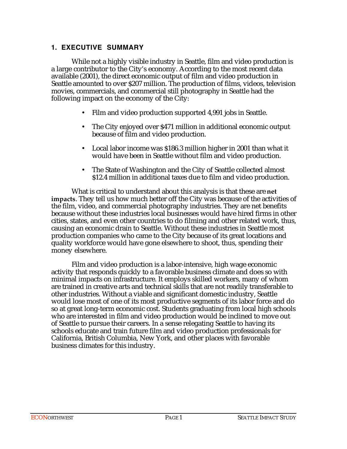## **1. EXECUTIVE SUMMARY**

While not a highly visible industry in Seattle, film and video production is a large contributor to the City's economy. According to the most recent data available (2001), the direct economic output of film and video production in Seattle amounted to over \$207 million. The production of films, videos, television movies, commercials, and commercial still photography in Seattle had the following impact on the economy of the City:

Film and video production supported 4,991 jobs in Seattle.

The City enjoyed over \$471 million in additional economic output because of film and video production.

Local labor income was \$186.3 million higher in 2001 than what it would have been in Seattle without film and video production.

The State of Washington and the City of Seattle collected almost \$12.4 million in additional taxes due to film and video production.

What is critical to understand about this analysis is that these are **net impacts**. They tell us how much better off the City was because of the activities of the film, video, and commercial photography industries. They are net benefits because without these industries local businesses would have hired firms in other cities, states, and even other countries to do filming and other related work, thus, causing an economic drain to Seattle. Without these industries in Seattle most production companies who came to the City because of its great locations and quality workforce would have gone elsewhere to shoot, thus, spending their money elsewhere.

Film and video production is a labor-intensive, high wage economic activity that responds quickly to a favorable business climate and does so with minimal impacts on infrastructure. It employs skilled workers, many of whom are trained in creative arts and technical skills that are not readily transferable to other industries. Without a viable and significant domestic industry, Seattle would lose most of one of its most productive segments of its labor force and do so at great long-term economic cost. Students graduating from local high schools who are interested in film and video production would be inclined to move out of Seattle to pursue their careers. In a sense relegating Seattle to having its schools educate and train future film and video production professionals for California, British Columbia, New York, and other places with favorable business climates for this industry.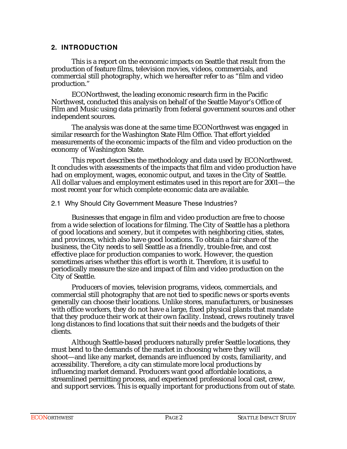## **2. INTRODUCTION**

This is a report on the economic impacts on Seattle that result from the production of feature films, television movies, videos, commercials, and commercial still photography, which we hereafter refer to as "film and video production."

ECONorthwest, the leading economic research firm in the Pacific Northwest, conducted this analysis on behalf of the Seattle Mayor's Office of Film and Music using data primarily from federal government sources and other independent sources.

The analysis was done at the same time ECONorthwest was engaged in similar research for the Washington State Film Office. That effort yielded measurements of the economic impacts of the film and video production on the economy of Washington State.

This report describes the methodology and data used by ECONorthwest. It concludes with assessments of the impacts that film and video production have had on employment, wages, economic output, and taxes in the City of Seattle. All dollar values and employment estimates used in this report are for 2001—the most recent year for which complete economic data are available.

## 2.1 Why Should City Government Measure These Industries?

Businesses that engage in film and video production are free to choose from a wide selection of locations for filming. The City of Seattle has a plethora of good locations and scenery, but it competes with neighboring cities, states, and provinces, which also have good locations. To obtain a fair share of the business, the City needs to sell Seattle as a friendly, trouble-free, and cost effective place for production companies to work. However, the question sometimes arises whether this effort is worth it. Therefore, it is useful to periodically measure the size and impact of film and video production on the City of Seattle.

Producers of movies, television programs, videos, commercials, and commercial still photography that are not tied to specific news or sports events generally can choose their locations. Unlike stores, manufacturers, or businesses with office workers, they do not have a large, fixed physical plants that mandate that they produce their work at their own facility. Instead, crews routinely travel long distances to find locations that suit their needs and the budgets of their clients.

Although Seattle-based producers naturally prefer Seattle locations, they must bend to the demands of the market in choosing where they will shoot—and like any market, demands are influenced by costs, familiarity, and accessibility. Therefore, a city can stimulate more local productions by influencing market demand. Producers want good affordable locations, a streamlined permitting process, and experienced professional local cast, crew, and support services. This is equally important for productions from out of state.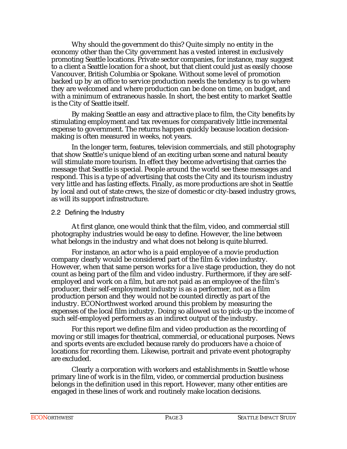Why should the government do this? Quite simply no entity in the economy other than the City government has a vested interest in exclusively promoting Seattle locations. Private sector companies, for instance, may suggest to a client a Seattle location for a shoot, but that client could just as easily choose Vancouver, British Columbia or Spokane. Without some level of promotion backed up by an office to service production needs the tendency is to go where they are welcomed and where production can be done on time, on budget, and with a minimum of extraneous hassle. In short, the best entity to market Seattle is the City of Seattle itself.

By making Seattle an easy and attractive place to film, the City benefits by stimulating employment and tax revenues for comparatively little incremental expense to government. The returns happen quickly because location decisionmaking is often measured in weeks, not years.

In the longer term, features, television commercials, and still photography that show Seattle's unique blend of an exciting urban scene and natural beauty will stimulate more tourism. In effect they become advertising that carries the message that Seattle is special. People around the world see these messages and respond. This is a type of advertising that costs the City and its tourism industry very little and has lasting effects. Finally, as more productions are shot in Seattle by local and out of state crews, the size of domestic or city-based industry grows, as will its support infrastructure.

## 2.2 Defining the Industry

At first glance, one would think that the film, video, and commercial still photography industries would be easy to define. However, the line between what belongs in the industry and what does not belong is quite blurred.

For instance, an actor who is a paid employee of a movie production company clearly would be considered part of the film & video industry. However, when that same person works for a live stage production, they do not count as being part of the film and video industry. Furthermore, if they are selfemployed and work on a film, but are not paid as an employee of the film's producer, their self-employment industry is as a performer, not as a film production person and they would not be counted directly as part of the industry. ECONorthwest worked around this problem by measuring the expenses of the local film industry. Doing so allowed us to pick-up the income of such self-employed performers as an indirect output of the industry.

For this report we define film and video production as the recording of moving or still images for theatrical, commercial, or educational purposes. News and sports events are excluded because rarely do producers have a choice of locations for recording them. Likewise, portrait and private event photography are excluded.

Clearly a corporation with workers and establishments in Seattle whose primary line of work is in the film, video, or commercial production business belongs in the definition used in this report. However, many other entities are engaged in these lines of work and routinely make location decisions.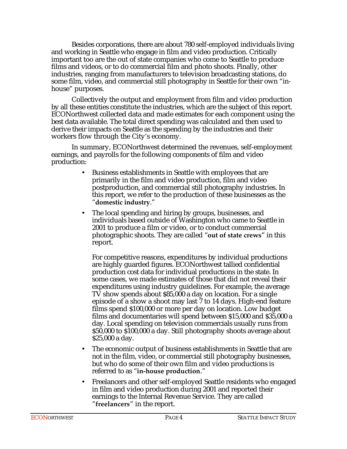Besides corporations, there are about 780 self-employed individuals living and working in Seattle who engage in film and video production. Critically important too are the out of state companies who come to Seattle to produce films and videos, or to do commercial film and photo shoots. Finally, other industries, ranging from manufacturers to television broadcasting stations, do some film, video, and commercial still photography in Seattle for their own "inhouse" purposes.

Collectively the output and employment from film and video production by all these entities constitute the industries, which are the subject of this report. ECONorthwest collected data and made estimates for each component using the best data available. The total direct spending was calculated and then used to derive their impacts on Seattle as the spending by the industries and their workers flow through the City's economy.

In summary, ECONorthwest determined the revenues, self-employment earnings, and payrolls for the following components of film and video production:

> Business establishments in Seattle with employees that are primarily in the film and video production, film and video postproduction, and commercial still photography industries. In this report, we refer to the production of these businesses as the "**domestic industry**."

> The local spending and hiring by groups, businesses, and individuals based outside of Washington who came to Seattle in 2001 to produce a film or video, or to conduct commercial photographic shoots. They are called "**out of state crews**" in this report.

For competitive reasons, expenditures by individual productions are highly guarded figures. ECONorthwest tallied confidential production cost data for individual productions in the state. In some cases, we made estimates of those that did not reveal their expenditures using industry guidelines. For example, the average TV show spends about \$85,000 a day on location. For a single episode of a show a shoot may last 7 to 14 days. High-end feature films spend \$100,000 or more per day on location. Low budget films and documentaries will spend between \$15,000 and \$35,000 a day. Local spending on television commercials usually runs from \$50,000 to \$100,000 a day. Still photography shoots average about \$25,000 a day.

The economic output of business establishments in Seattle that are not in the film, video, or commercial still photography businesses, but who do some of their own film and video productions is referred to as "**in-house production**."

Freelancers and other self-employed Seattle residents who engaged in film and video production during 2001 and reported their earnings to the Internal Revenue Service. They are called "**freelancers**" in the report.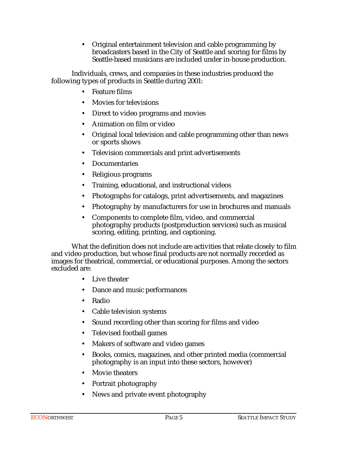Original entertainment television and cable programming by broadcasters based in the City of Seattle and scoring for films by Seattle-based musicians are included under in-house production.

Individuals, crews, and companies in these industries produced the following types of products in Seattle during 2001:

Feature films

Movies for televisions

Direct to video programs and movies

Animation on film or video

Original local television and cable programming other than news or sports shows

Television commercials and print advertisements

**Documentaries** 

Religious programs

Training, educational, and instructional videos

Photographs for catalogs, print advertisements, and magazines

Photography by manufacturers for use in brochures and manuals

Components to complete film, video, and commercial photography products (postproduction services) such as musical scoring, editing, printing, and captioning.

What the definition does not include are activities that relate closely to film and video production, but whose final products are not normally recorded as images for theatrical, commercial, or educational purposes. Among the sectors excluded are:

Live theater

Dance and music performances

Radio

Cable television systems

Sound recording other than scoring for films and video

Televised football games

Makers of software and video games

Books, comics, magazines, and other printed media (commercial photography is an input into these sectors, however)

Movie theaters

Portrait photography

News and private event photography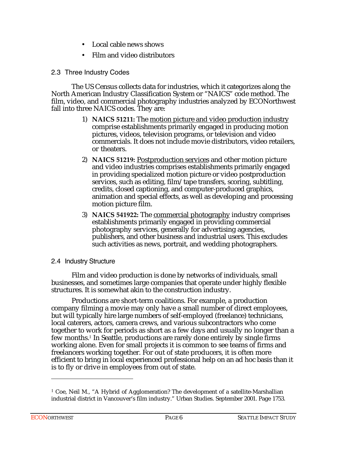Local cable news shows

Film and video distributors

## 2.3 Three Industry Codes

The US Census collects data for industries, which it categorizes along the North American Industry Classification System or "NAICS" code method. The film, video, and commercial photography industries analyzed by ECONorthwest fall into three NAICS codes. They are:

- 1) **NAICS 51211:** The motion picture and video production industry comprise establishments primarily engaged in producing motion pictures, videos, television programs, or television and video commercials. It does not include movie distributors, video retailers, or theaters.
- 2) **NAICS 51219:** Postproduction services and other motion picture and video industries comprises establishments primarily engaged in providing specialized motion picture or video postproduction services, such as editing, film/tape transfers, scoring, subtitling, credits, closed captioning, and computer-produced graphics, animation and special effects, as well as developing and processing motion picture film.
- 3) **NAICS 541922:** The commercial photography industry comprises establishments primarily engaged in providing commercial photography services, generally for advertising agencies, publishers, and other business and industrial users. This excludes such activities as news, portrait, and wedding photographers.

## 2.4 Industry Structure

Film and video production is done by networks of individuals, small businesses, and sometimes large companies that operate under highly flexible structures. It is somewhat akin to the construction industry.

Productions are short-term coalitions. For example, a production company filming a movie may only have a small number of direct employees, but will typically hire large numbers of self-employed (freelance) technicians, local caterers, actors, camera crews, and various subcontractors who come together to work for periods as short as a few days and usually no longer than a few months.<sup>1</sup> In Seattle, productions are rarely done entirely by single firms working alone. Even for small projects it is common to see teams of firms and freelancers working together. For out of state producers, it is often more efficient to bring in local experienced professional help on an ad hoc basis than it is to fly or drive in employees from out of state.

 $\overline{a}$ 

 $1$  Coe, Neil M., "A Hybrid of Agglomeration? The development of a satellite-Marshallian industrial district in Vancouver's film industry." Urban Studies. September 2001. Page 1753.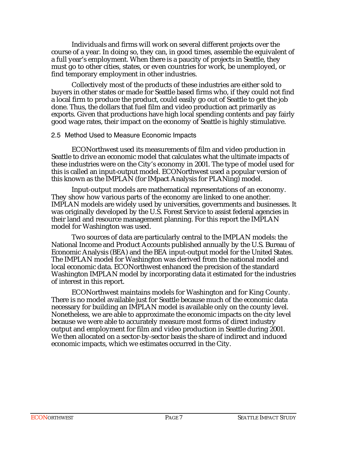Individuals and firms will work on several different projects over the course of a year. In doing so, they can, in good times, assemble the equivalent of a full year's employment. When there is a paucity of projects in Seattle, they must go to other cities, states, or even countries for work, be unemployed, or find temporary employment in other industries.

Collectively most of the products of these industries are either sold to buyers in other states or made for Seattle based firms who, if they could not find a local firm to produce the product, could easily go out of Seattle to get the job done. Thus, the dollars that fuel film and video production act primarily as exports. Given that productions have high local spending contents and pay fairly good wage rates, their impact on the economy of Seattle is highly stimulative.

## 2.5 Method Used to Measure Economic Impacts

ECONorthwest used its measurements of film and video production in Seattle to drive an economic model that calculates what the ultimate impacts of these industries were on the City's economy in 2001. The type of model used for this is called an input-output model. ECONorthwest used a popular version of this known as the IMPLAN (for IMpact Analysis for PLANing) model.

Input-output models are mathematical representations of an economy. They show how various parts of the economy are linked to one another. IMPLAN models are widely used by universities, governments and businesses. It was originally developed by the U.S. Forest Service to assist federal agencies in their land and resource management planning. For this report the IMPLAN model for Washington was used.

Two sources of data are particularly central to the IMPLAN models: the National Income and Product Accounts published annually by the U.S. Bureau of Economic Analysis (BEA) and the BEA input-output model for the United States. The IMPLAN model for Washington was derived from the national model and local economic data. ECONorthwest enhanced the precision of the standard Washington IMPLAN model by incorporating data it estimated for the industries of interest in this report.

ECONorthwest maintains models for Washington and for King County. There is no model available just for Seattle because much of the economic data necessary for building an IMPLAN model is available only on the county level. Nonetheless, we are able to approximate the economic impacts on the city level because we were able to accurately measure most forms of direct industry output and employment for film and video production in Seattle during 2001. We then allocated on a sector-by-sector basis the share of indirect and induced economic impacts, which we estimates occurred in the City.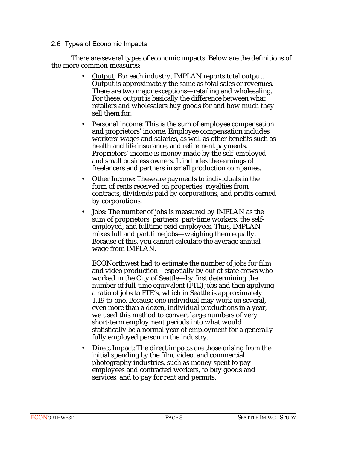## 2.6 Types of Economic Impacts

There are several types of economic impacts. Below are the definitions of the more common measures:

> Output: For each industry, IMPLAN reports total output. Output is approximately the same as total sales or revenues. There are two major exceptions—retailing and wholesaling. For these, output is basically the difference between what retailers and wholesalers buy goods for and how much they sell them for.

> Personal income: This is the sum of employee compensation and proprietors' income. Employee compensation includes workers' wages and salaries, as well as other benefits such as health and life insurance, and retirement payments. Proprietors' income is money made by the self-employed and small business owners. It includes the earnings of freelancers and partners in small production companies.

> Other Income: These are payments to individuals in the form of rents received on properties, royalties from contracts, dividends paid by corporations, and profits earned by corporations.

Jobs: The number of jobs is measured by IMPLAN as the sum of proprietors, partners, part-time workers, the selfemployed, and fulltime paid employees. Thus, IMPLAN mixes full and part time jobs—weighing them equally. Because of this, you cannot calculate the average annual wage from IMPLAN.

ECONorthwest had to estimate the number of jobs for film and video production—especially by out of state crews who worked in the City of Seattle—by first determining the number of full-time equivalent (FTE) jobs and then applying a ratio of jobs to FTE's, which in Seattle is approximately 1.19-to-one. Because one individual may work on several, even more than a dozen, individual productions in a year, we used this method to convert large numbers of very short-term employment periods into what would statistically be a normal year of employment for a generally fully employed person in the industry.

Direct Impact: The direct impacts are those arising from the initial spending by the film, video, and commercial photography industries, such as money spent to pay employees and contracted workers, to buy goods and services, and to pay for rent and permits.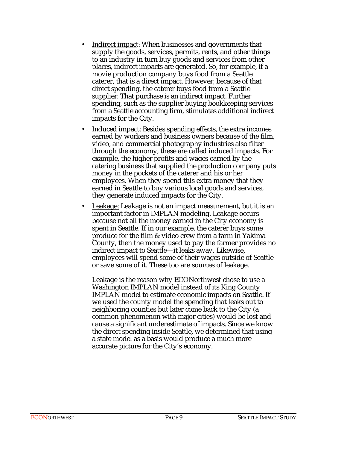Indirect impact: When businesses and governments that supply the goods, services, permits, rents, and other things to an industry in turn buy goods and services from other places, indirect impacts are generated. So, for example, if a movie production company buys food from a Seattle caterer, that is a direct impact. However, because of that direct spending, the caterer buys food from a Seattle supplier. That purchase is an indirect impact. Further spending, such as the supplier buying bookkeeping services from a Seattle accounting firm, stimulates additional indirect impacts for the City.

Induced impact: Besides spending effects, the extra incomes earned by workers and business owners because of the film, video, and commercial photography industries also filter through the economy, these are called induced impacts. For example, the higher profits and wages earned by the catering business that supplied the production company puts money in the pockets of the caterer and his or her employees. When they spend this extra money that they earned in Seattle to buy various local goods and services, they generate induced impacts for the City.

Leakage: Leakage is not an impact measurement, but it is an important factor in IMPLAN modeling. Leakage occurs because not all the money earned in the City economy is spent in Seattle. If in our example, the caterer buys some produce for the film & video crew from a farm in Yakima County, then the money used to pay the farmer provides no indirect impact to Seattle—it leaks away. Likewise, employees will spend some of their wages outside of Seattle or save some of it. These too are sources of leakage.

Leakage is the reason why ECONorthwest chose to use a Washington IMPLAN model instead of its King County IMPLAN model to estimate economic impacts on Seattle. If we used the county model the spending that leaks out to neighboring counties but later come back to the City (a common phenomenon with major cities) would be lost and cause a significant underestimate of impacts. Since we know the direct spending inside Seattle, we determined that using a state model as a basis would produce a much more accurate picture for the City's economy.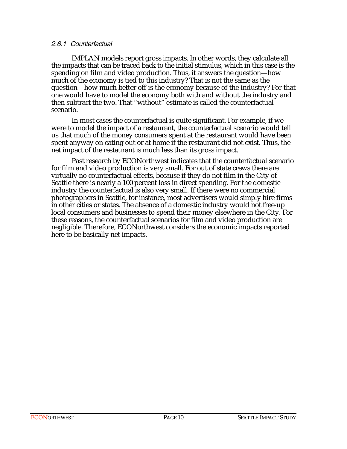## 2.6.1 Counterfactual

IMPLAN models report gross impacts. In other words, they calculate all the impacts that can be traced back to the initial stimulus, which in this case is the spending on film and video production. Thus, it answers the question—how much of the economy is tied to this industry? That is not the same as the question—how much better off is the economy because of the industry? For that one would have to model the economy both with and without the industry and then subtract the two. That "without" estimate is called the counterfactual scenario.

In most cases the counterfactual is quite significant. For example, if we were to model the impact of a restaurant, the counterfactual scenario would tell us that much of the money consumers spent at the restaurant would have been spent anyway on eating out or at home if the restaurant did not exist. Thus, the net impact of the restaurant is much less than its gross impact.

Past research by ECONorthwest indicates that the counterfactual scenario for film and video production is very small. For out of state crews there are virtually no counterfactual effects, because if they do not film in the City of Seattle there is nearly a 100 percent loss in direct spending. For the domestic industry the counterfactual is also very small. If there were no commercial photographers in Seattle, for instance, most advertisers would simply hire firms in other cities or states. The absence of a domestic industry would not free-up local consumers and businesses to spend their money elsewhere in the City. For these reasons, the counterfactual scenarios for film and video production are negligible. Therefore, ECONorthwest considers the economic impacts reported here to be basically net impacts.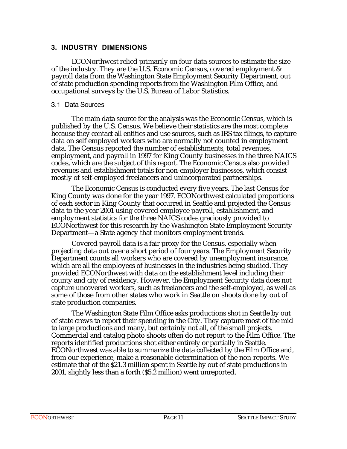## **3. INDUSTRY DIMENSIONS**

ECONorthwest relied primarily on four data sources to estimate the size of the industry. They are the U.S. Economic Census, covered employment & payroll data from the Washington State Employment Security Department, out of state production spending reports from the Washington Film Office, and occupational surveys by the U.S. Bureau of Labor Statistics.

## 3.1 Data Sources

The main data source for the analysis was the Economic Census, which is published by the U.S. Census. We believe their statistics are the most complete because they contact all entities and use sources, such as IRS tax filings, to capture data on self employed workers who are normally not counted in employment data. The Census reported the number of establishments, total revenues, employment, and payroll in 1997 for King County businesses in the three NAICS codes, which are the subject of this report. The Economic Census also provided revenues and establishment totals for non-employer businesses, which consist mostly of self-employed freelancers and unincorporated partnerships.

The Economic Census is conducted every five years. The last Census for King County was done for the year 1997. ECONorthwest calculated proportions of each sector in King County that occurred in Seattle and projected the Census data to the year 2001 using covered employee payroll, establishment, and employment statistics for the three NAICS codes graciously provided to ECONorthwest for this research by the Washington State Employment Security Department—a State agency that monitors employment trends.

Covered payroll data is a fair proxy for the Census, especially when projecting data out over a short period of four years. The Employment Security Department counts all workers who are covered by unemployment insurance, which are all the employees of businesses in the industries being studied. They provided ECONorthwest with data on the establishment level including their county and city of residency. However, the Employment Security data does not capture uncovered workers, such as freelancers and the self-employed, as well as some of those from other states who work in Seattle on shoots done by out of state production companies.

The Washington State Film Office asks productions shot in Seattle by out of state crews to report their spending in the City. They capture most of the mid to large productions and many, but certainly not all, of the small projects. Commercial and catalog photo shoots often do not report to the Film Office. The reports identified productions shot either entirely or partially in Seattle. ECONorthwest was able to summarize the data collected by the Film Office and, from our experience, make a reasonable determination of the non-reports. We estimate that of the \$21.3 million spent in Seattle by out of state productions in 2001, slightly less than a forth (\$5.2 million) went unreported.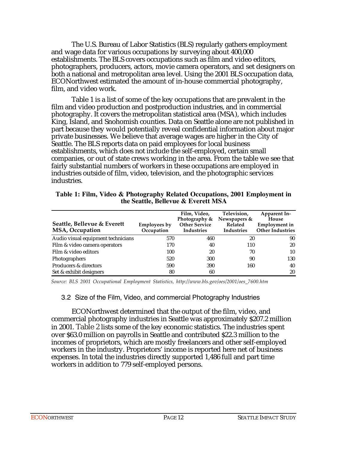The U.S. Bureau of Labor Statistics (BLS) regularly gathers employment and wage data for various occupations by surveying about 400,000 establishments. The BLS covers occupations such as film and video editors, photographers, producers, actors, movie camera operators, and set designers on both a national and metropolitan area level. Using the 2001 BLS occupation data, ECONorthwest estimated the amount of in-house commercial photography, film, and video work.

Table 1 is a list of some of the key occupations that are prevalent in the film and video production and postproduction industries, and in commercial photography. It covers the metropolitan statistical area (MSA), which includes King, Island, and Snohomish counties. Data on Seattle alone are not published in part because they would potentially reveal confidential information about major private businesses. We believe that average wages are higher in the City of Seattle. The BLS reports data on paid employees for local business establishments, which does not include the self-employed, certain small companies, or out of state crews working in the area. From the table we see that fairly substantial numbers of workers in these occupations are employed in industries outside of film, video, television, and the photographic services industries.

| Seattle, Bellevue & Everett<br>MSA, Occupation | <b>Employees by</b><br>Occupation | Film, Video,<br>Photography &<br><b>Other Service</b><br>Industries | Television,<br>Newspapers &<br>Related<br>Industries | Apparent In-<br>House<br><b>Employment</b> in<br><b>Other Industries</b> |
|------------------------------------------------|-----------------------------------|---------------------------------------------------------------------|------------------------------------------------------|--------------------------------------------------------------------------|
| Audio visual equipment technicians             | 570                               | 460                                                                 | 20                                                   | 90                                                                       |
| Film & video camera operators                  | 170                               | 40                                                                  | 110                                                  | 20                                                                       |
| Film & video editors                           | 100                               | 20                                                                  | 70                                                   | 10                                                                       |
| Photographers                                  | 520                               | 300                                                                 | 90                                                   | 130                                                                      |
| Producers & directors                          | 590                               | 390                                                                 | 160                                                  | 40                                                                       |
| Set & exhibit designers                        | 80                                | 60                                                                  |                                                      | 20                                                                       |

#### **Table 1: Film, Video & Photography Related Occupations, 2001 Employment in the Seattle, Bellevue & Everett MSA**

*Source: BLS 2001 Occupational Employment Statistics, http://www.bls.gov/oes/2001/oes\_7600.htm*

### 3.2 Size of the Film, Video, and commercial Photography Industries

ECONorthwest determined that the output of the film, video, and commercial photography industries in Seattle was approximately \$207.2 million in 2001. Table 2 lists some of the key economic statistics. The industries spent over \$63.0 million on payrolls in Seattle and contributed \$22.3 million to the incomes of proprietors, which are mostly freelancers and other self-employed workers in the industry. Proprietors' income is reported here net of business expenses. In total the industries directly supported 1,486 full and part time workers in addition to 779 self-employed persons.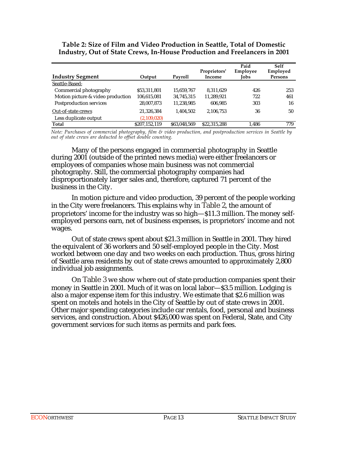#### **Table 2: Size of Film and Video Production in Seattle, Total of Domestic Industry, Out of State Crews, In-House Production and Freelancers in 2001**

|                                   |               |              |                        | Paid                    | <b>Self</b>         |
|-----------------------------------|---------------|--------------|------------------------|-------------------------|---------------------|
| <b>Industry Segment</b>           | Output        | Payroll      | Proprietors'<br>Income | Employee<br><b>Jobs</b> | Employed<br>Persons |
| Seattle-Based:                    |               |              |                        |                         |                     |
| Commercial photography            | \$53,311,801  | 15.659.767   | 8,311,629              | 426                     | 253                 |
| Motion picture & video production | 106,615,081   | 34,745,315   | 11,289,921             | 722                     | 461                 |
| Postproduction services           | 28,007,873    | 11,238,985   | 606.985                | 303                     | 16                  |
| Out-of-state crews                | 21,326,384    | 1,404,502    | 2,106,753              | 36                      | 50                  |
| Less duplicate output             | (2,109,020)   |              |                        |                         |                     |
| Total                             | \$207,152,119 | \$63,048,569 | \$22,315,288           | 1.486                   | 779                 |

*Note: Purchases of commercial photography, film & video production, and postproduction services in Seattle by out of state crews are deducted to offset double counting.*

Many of the persons engaged in commercial photography in Seattle during 2001 (outside of the printed news media) were either freelancers or employees of companies whose main business was not commercial photography. Still, the commercial photography companies had disproportionately larger sales and, therefore, captured 71 percent of the business in the City.

In motion picture and video production, 39 percent of the people working in the City were freelancers. This explains why in Table 2, the amount of proprietors' income for the industry was so high—\$11.3 million. The money selfemployed persons earn, net of business expenses, is proprietors' income and not wages.

Out of state crews spent about \$21.3 million in Seattle in 2001. They hired the equivalent of 36 workers and 50 self-employed people in the City. Most worked between one day and two weeks on each production. Thus, gross hiring of Seattle area residents by out of state crews amounted to approximately 2,800 individual job assignments.

On Table 3 we show where out of state production companies spent their money in Seattle in 2001. Much of it was on local labor—\$3.5 million. Lodging is also a major expense item for this industry. We estimate that \$2.6 million was spent on motels and hotels in the City of Seattle by out of state crews in 2001. Other major spending categories include car rentals, food, personal and business services, and construction. About \$426,000 was spent on Federal, State, and City government services for such items as permits and park fees.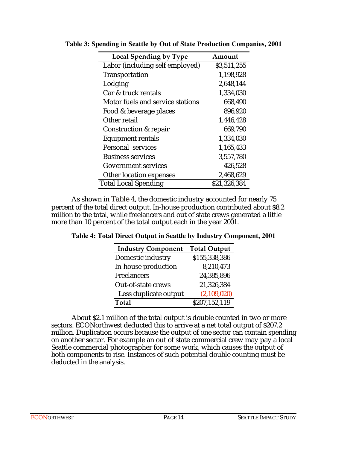| Local Spending by Type           | Amount       |
|----------------------------------|--------------|
| Labor (including self employed)  | \$3,511,255  |
| Transportation                   | 1,198,928    |
| Lodging                          | 2,648,144    |
| Car & truck rentals              | 1,334,030    |
| Motor fuels and service stations | 668,490      |
| Food & beverage places           | 896,920      |
| Other retail                     | 1,446,428    |
| Construction & repair            | 669,790      |
| Equipment rentals                | 1,334,030    |
| Personal services                | 1,165,433    |
| <b>Business services</b>         | 3,557,780    |
| Government services              | 426,528      |
| Other location expenses          | 2,468,629    |
| <b>Total Local Spending</b>      | \$21,326,384 |

**Table 3: Spending in Seattle by Out of State Production Companies, 2001**

As shown in Table 4, the domestic industry accounted for nearly 75 percent of the total direct output. In-house production contributed about \$8.2 million to the total, while freelancers and out of state crews generated a little more than 10 percent of the total output each in the year 2001.

**Table 4: Total Direct Output in Seattle by Industry Component, 2001**

| <b>Industry Component</b> | <b>Total Output</b> |
|---------------------------|---------------------|
| Domestic industry         | \$155,338,386       |
| In-house production       | 8,210,473           |
| Freelancers               | 24,385,896          |
| Out-of-state crews        | 21,326,384          |
| Less duplicate output     | (2, 109, 020)       |
| Total                     | \$207,152,119       |

About \$2.1 million of the total output is double counted in two or more sectors. ECONorthwest deducted this to arrive at a net total output of \$207.2 million. Duplication occurs because the output of one sector can contain spending on another sector. For example an out of state commercial crew may pay a local Seattle commercial photographer for some work, which causes the output of both components to rise. Instances of such potential double counting must be deducted in the analysis.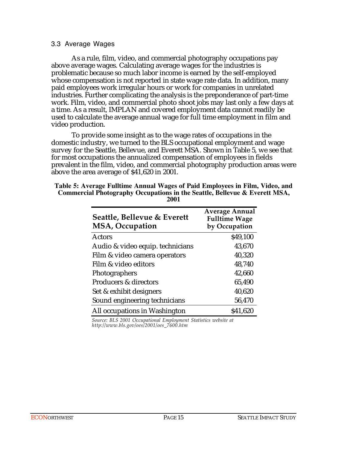#### 3.3 Average Wages

As a rule, film, video, and commercial photography occupations pay above average wages. Calculating average wages for the industries is problematic because so much labor income is earned by the self-employed whose compensation is not reported in state wage rate data. In addition, many paid employees work irregular hours or work for companies in unrelated industries. Further complicating the analysis is the preponderance of part-time work. Film, video, and commercial photo shoot jobs may last only a few days at a time. As a result, IMPLAN and covered employment data cannot readily be used to calculate the average annual wage for full time employment in film and video production.

To provide some insight as to the wage rates of occupations in the domestic industry, we turned to the BLS occupational employment and wage survey for the Seattle, Bellevue, and Everett MSA. Shown in Table 5, we see that for most occupations the annualized compensation of employees in fields prevalent in the film, video, and commercial photography production areas were above the area average of \$41,620 in 2001.

| Seattle, Bellevue & Everett<br><b>MSA, Occupation</b> | <b>Average Annual</b><br><b>Fulltime Wage</b><br>by Occupation |
|-------------------------------------------------------|----------------------------------------------------------------|
| Actors                                                | \$49,100                                                       |
| Audio & video equip. technicians                      | 43,670                                                         |
| Film & video camera operators                         | 40,320                                                         |
| Film & video editors                                  | 48,740                                                         |
| <b>Photographers</b>                                  | 42,660                                                         |
| Producers & directors                                 | 65,490                                                         |
| Set & exhibit designers                               | 40,620                                                         |
| Sound engineering technicians                         | 56,470                                                         |
| All occupations in Washington                         | \$41,620                                                       |

#### **Table 5: Average Fulltime Annual Wages of Paid Employees in Film, Video, and Commercial Photography Occupations in the Seattle, Bellevue & Everett MSA, 2001**

*Source: BLS 2001 Occupational Employment Statistics website at http://www.bls.gov/oes/2001/oes\_7600.htm*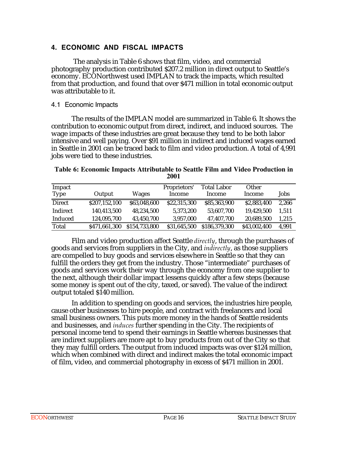## **4. ECONOMIC AND FISCAL IMPACTS**

 The analysis in Table 6 shows that film, video, and commercial photography production contributed \$207.2 million in direct output to Seattle's economy. ECONorthwest used IMPLAN to track the impacts, which resulted from that production, and found that over \$471 million in total economic output was attributable to it.

## 4.1 Economic Impacts

The results of the IMPLAN model are summarized in Table 6. It shows the contribution to economic output from direct, indirect, and induced sources. The wage impacts of these industries are great because they tend to be both labor intensive and well paying. Over \$91 million in indirect and induced wages earned in Seattle in 2001 can be traced back to film and video production. A total of 4,991 jobs were tied to these industries.

#### **Table 6: Economic Impacts Attributable to Seattle Film and Video Production in 2001**

| Impact<br>Type | Output        | Wages         | Proprietors'<br>Income | Total Labor<br>Income | Other<br>Income | Jobs  |
|----------------|---------------|---------------|------------------------|-----------------------|-----------------|-------|
| <b>Direct</b>  | \$207,152,100 | \$63,048,600  | \$22,315,300           | \$85,363,900          | \$2,883,400     | 2,266 |
| Indirect       | 140,413,500   | 48,234,500    | 5,373,200              | 53.607.700            | 19,429,500      | 1.511 |
| Induced        | 124,095,700   | 43.450.700    | 3.957.000              | 47.407.700            | 20,689,500      | 1,215 |
| Total          | \$471,661,300 | \$154,733,800 | \$31,645,500           | \$186,379,300         | \$43,002,400    | 4.991 |

Film and video production affect Seattle *directly*, through the purchases of goods and services from suppliers in the City, and *indirectly*, as those suppliers are compelled to buy goods and services elsewhere in Seattle so that they can fulfill the orders they get from the industry. Those "intermediate" purchases of goods and services work their way through the economy from one supplier to the next, although their dollar impact lessens quickly after a few steps (because some money is spent out of the city, taxed, or saved). The value of the indirect output totaled \$140 million.

In addition to spending on goods and services, the industries hire people, cause other businesses to hire people, and contract with freelancers and local small business owners. This puts more money in the hands of Seattle residents and businesses, and *induces* further spending in the City. The recipients of personal income tend to spend their earnings in Seattle whereas businesses that are indirect suppliers are more apt to buy products from out of the City so that they may fulfill orders. The output from induced impacts was over \$124 million, which when combined with direct and indirect makes the total economic impact of film, video, and commercial photography in excess of \$471 million in 2001.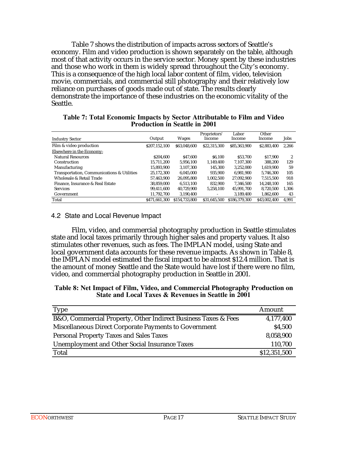Table 7 shows the distribution of impacts across sectors of Seattle's economy. Film and video production is shown separately on the table, although most of that activity occurs in the service sector. Money spent by these industries and those who work in them is widely spread throughout the City's economy. This is a consequence of the high local labor content of film, video, television movie, commercials, and commercial still photography and their relatively low reliance on purchases of goods made out of state. The results clearly demonstrate the importance of these industries on the economic vitality of the Seattle.

| <b>Industry Sector</b>                     | Output        | Wages         | Proprietors'<br>Income | Labor<br>Income | Other<br>Income | Jobs  |
|--------------------------------------------|---------------|---------------|------------------------|-----------------|-----------------|-------|
| Film & video production                    | \$207,152,100 | \$63,048,600  | \$22,315,300           | \$85,363,900    | \$2.883.400     | 2,266 |
| <b>Elsewhere in the Economy:</b>           |               |               |                        |                 |                 |       |
| <b>Natural Resources</b>                   | \$204,600     | \$47.600      | \$6.100                | \$53,700        | \$17,900        | 2     |
| Construction                               | 15.711.200    | 5.956.100     | 1.149.400              | 7.107.300       | 388,200         | 129   |
| Manufacturing                              | 15.893.900    | 3.107.300     | 145.300                | 3.252.000       | 1.619.900       | 59    |
| Transportation, Communications & Utilities | 25.172.300    | 6.045.000     | 935.900                | 6.981.900       | 5.746.300       | 105   |
| Wholesale & Retail Trade                   | 57.463.900    | 26.095.800    | 1.002.500              | 27.092.900      | 7.515.500       | 918   |
| Finance, Insurance & Real Estate           | 38.859.000    | 6.513.100     | 832.900                | 7.346.500       | 14.248.100      | 165   |
| Services                                   | 99.411.600    | 40.729.900    | 5.258.100              | 45.991.700      | 8.720.500       | .306  |
| Government                                 | 11.792.700    | 3.190.400     |                        | 3.189.400       | 1.862.600       | 43    |
| Total                                      | \$471.661.300 | \$154,733,800 | \$31.645.500           | \$186,379,300   | \$43,002,400    | 4.991 |

#### **Table 7: Total Economic Impacts by Sector Attributable to Film and Video Production in Seattle in 2001**

## 4.2 State and Local Revenue Impact

Film, video, and commercial photography production in Seattle stimulates state and local taxes primarily through higher sales and property values. It also stimulates other revenues, such as fees. The IMPLAN model, using State and local government data accounts for these revenue impacts. As shown in Table 8, the IMPLAN model estimated the fiscal impact to be almost \$12.4 million. That is the amount of money Seattle and the State would have lost if there were no film, video, and commercial photography production in Seattle in 2001.

#### **Table 8: Net Impact of Film, Video, and Commercial Photography Production on State and Local Taxes & Revenues in Seattle in 2001**

| Type                                                           | Amount       |
|----------------------------------------------------------------|--------------|
| B&O, Commercial Property, Other Indirect Business Taxes & Fees | 4,177,400    |
| Miscellaneous Direct Corporate Payments to Government          | \$4,500      |
| Personal Property Taxes and Sales Taxes                        | 8,058,900    |
| Unemployment and Other Social Insurance Taxes                  | 110,700      |
| Total                                                          | \$12,351,500 |